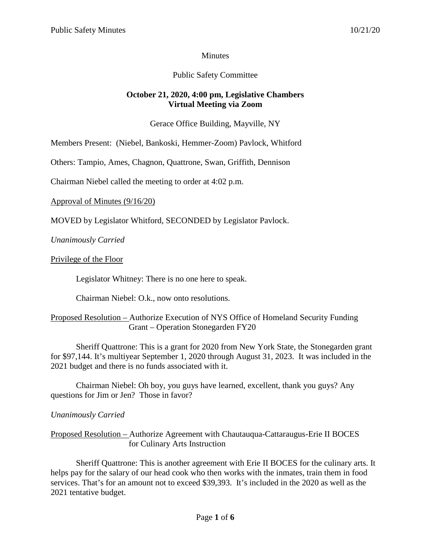### **Minutes**

### Public Safety Committee

### **October 21, 2020, 4:00 pm, Legislative Chambers Virtual Meeting via Zoom**

### Gerace Office Building, Mayville, NY

Members Present: (Niebel, Bankoski, Hemmer-Zoom) Pavlock, Whitford

Others: Tampio, Ames, Chagnon, Quattrone, Swan, Griffith, Dennison

Chairman Niebel called the meeting to order at 4:02 p.m.

Approval of Minutes (9/16/20)

MOVED by Legislator Whitford, SECONDED by Legislator Pavlock.

*Unanimously Carried*

Privilege of the Floor

Legislator Whitney: There is no one here to speak.

Chairman Niebel: O.k., now onto resolutions.

### Proposed Resolution – Authorize Execution of NYS Office of Homeland Security Funding Grant – Operation Stonegarden FY20

Sheriff Quattrone: This is a grant for 2020 from New York State, the Stonegarden grant for \$97,144. It's multiyear September 1, 2020 through August 31, 2023. It was included in the 2021 budget and there is no funds associated with it.

Chairman Niebel: Oh boy, you guys have learned, excellent, thank you guys? Any questions for Jim or Jen? Those in favor?

### *Unanimously Carried*

### Proposed Resolution – Authorize Agreement with Chautauqua-Cattaraugus-Erie II BOCES for Culinary Arts Instruction

Sheriff Quattrone: This is another agreement with Erie II BOCES for the culinary arts. It helps pay for the salary of our head cook who then works with the inmates, train them in food services. That's for an amount not to exceed \$39,393. It's included in the 2020 as well as the 2021 tentative budget.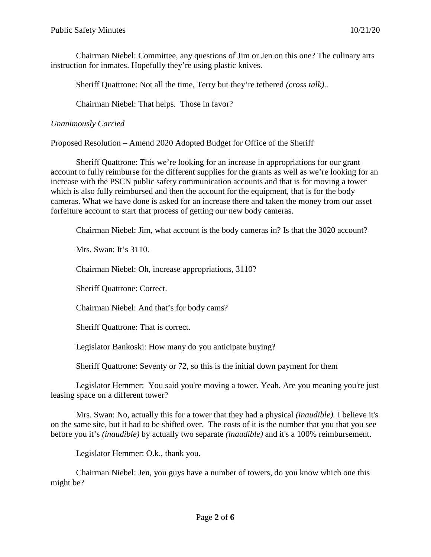Chairman Niebel: Committee, any questions of Jim or Jen on this one? The culinary arts instruction for inmates. Hopefully they're using plastic knives.

Sheriff Quattrone: Not all the time, Terry but they're tethered *(cross talk)*..

Chairman Niebel: That helps. Those in favor?

*Unanimously Carried*

Proposed Resolution – Amend 2020 Adopted Budget for Office of the Sheriff

Sheriff Quattrone: This we're looking for an increase in appropriations for our grant account to fully reimburse for the different supplies for the grants as well as we're looking for an increase with the PSCN public safety communication accounts and that is for moving a tower which is also fully reimbursed and then the account for the equipment, that is for the body cameras. What we have done is asked for an increase there and taken the money from our asset forfeiture account to start that process of getting our new body cameras.

Chairman Niebel: Jim, what account is the body cameras in? Is that the 3020 account?

Mrs. Swan: It's 3110.

Chairman Niebel: Oh, increase appropriations, 3110?

Sheriff Quattrone: Correct.

Chairman Niebel: And that's for body cams?

Sheriff Quattrone: That is correct.

Legislator Bankoski: How many do you anticipate buying?

Sheriff Quattrone: Seventy or 72, so this is the initial down payment for them

Legislator Hemmer: You said you're moving a tower. Yeah. Are you meaning you're just leasing space on a different tower?

Mrs. Swan: No, actually this for a tower that they had a physical *(inaudible).* I believe it's on the same site, but it had to be shifted over. The costs of it is the number that you that you see before you it's *(inaudible)* by actually two separate *(inaudible)* and it's a 100% reimbursement.

Legislator Hemmer: O.k., thank you.

Chairman Niebel: Jen, you guys have a number of towers, do you know which one this might be?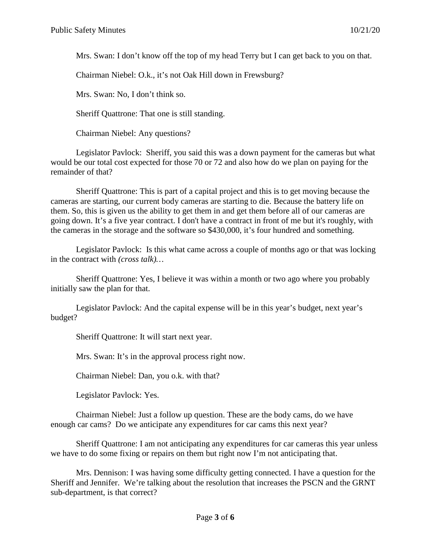Mrs. Swan: I don't know off the top of my head Terry but I can get back to you on that.

Chairman Niebel: O.k., it's not Oak Hill down in Frewsburg?

Mrs. Swan: No, I don't think so.

Sheriff Quattrone: That one is still standing.

Chairman Niebel: Any questions?

Legislator Pavlock: Sheriff, you said this was a down payment for the cameras but what would be our total cost expected for those 70 or 72 and also how do we plan on paying for the remainder of that?

Sheriff Quattrone: This is part of a capital project and this is to get moving because the cameras are starting, our current body cameras are starting to die. Because the battery life on them. So, this is given us the ability to get them in and get them before all of our cameras are going down. It's a five year contract. I don't have a contract in front of me but it's roughly, with the cameras in the storage and the software so \$430,000, it's four hundred and something.

Legislator Pavlock: Is this what came across a couple of months ago or that was locking in the contract with *(cross talk)…*

Sheriff Quattrone: Yes, I believe it was within a month or two ago where you probably initially saw the plan for that.

Legislator Pavlock: And the capital expense will be in this year's budget, next year's budget?

Sheriff Quattrone: It will start next year.

Mrs. Swan: It's in the approval process right now.

Chairman Niebel: Dan, you o.k. with that?

Legislator Pavlock: Yes.

Chairman Niebel: Just a follow up question. These are the body cams, do we have enough car cams? Do we anticipate any expenditures for car cams this next year?

Sheriff Quattrone: I am not anticipating any expenditures for car cameras this year unless we have to do some fixing or repairs on them but right now I'm not anticipating that.

Mrs. Dennison: I was having some difficulty getting connected. I have a question for the Sheriff and Jennifer. We're talking about the resolution that increases the PSCN and the GRNT sub-department, is that correct?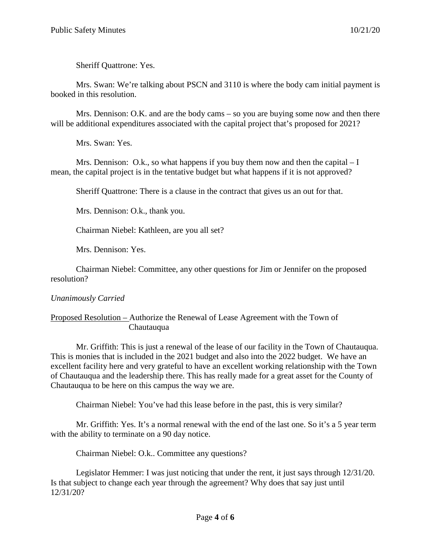Sheriff Quattrone: Yes.

Mrs. Swan: We're talking about PSCN and 3110 is where the body cam initial payment is booked in this resolution.

Mrs. Dennison: O.K. and are the body cams – so you are buying some now and then there will be additional expenditures associated with the capital project that's proposed for 2021?

Mrs. Swan: Yes.

Mrs. Dennison: O.k., so what happens if you buy them now and then the capital  $-I$ mean, the capital project is in the tentative budget but what happens if it is not approved?

Sheriff Quattrone: There is a clause in the contract that gives us an out for that.

Mrs. Dennison: O.k., thank you.

Chairman Niebel: Kathleen, are you all set?

Mrs. Dennison: Yes.

Chairman Niebel: Committee, any other questions for Jim or Jennifer on the proposed resolution?

# *Unanimously Carried*

## Proposed Resolution – Authorize the Renewal of Lease Agreement with the Town of Chautauqua

Mr. Griffith: This is just a renewal of the lease of our facility in the Town of Chautauqua. This is monies that is included in the 2021 budget and also into the 2022 budget. We have an excellent facility here and very grateful to have an excellent working relationship with the Town of Chautauqua and the leadership there. This has really made for a great asset for the County of Chautauqua to be here on this campus the way we are.

Chairman Niebel: You've had this lease before in the past, this is very similar?

Mr. Griffith: Yes. It's a normal renewal with the end of the last one. So it's a 5 year term with the ability to terminate on a 90 day notice.

Chairman Niebel: O.k.. Committee any questions?

Legislator Hemmer: I was just noticing that under the rent, it just says through 12/31/20. Is that subject to change each year through the agreement? Why does that say just until 12/31/20?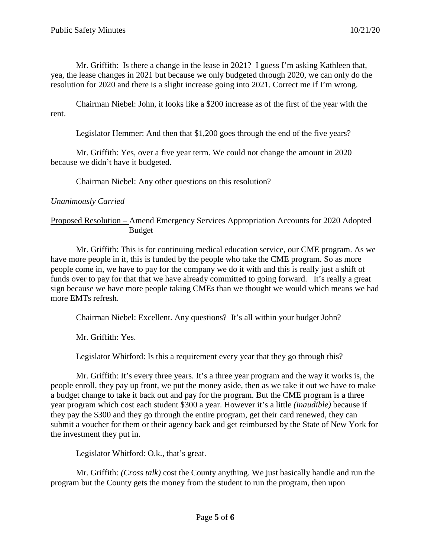Mr. Griffith: Is there a change in the lease in 2021? I guess I'm asking Kathleen that, yea, the lease changes in 2021 but because we only budgeted through 2020, we can only do the resolution for 2020 and there is a slight increase going into 2021. Correct me if I'm wrong.

Chairman Niebel: John, it looks like a \$200 increase as of the first of the year with the rent.

Legislator Hemmer: And then that \$1,200 goes through the end of the five years?

Mr. Griffith: Yes, over a five year term. We could not change the amount in 2020 because we didn't have it budgeted.

Chairman Niebel: Any other questions on this resolution?

## *Unanimously Carried*

## Proposed Resolution – Amend Emergency Services Appropriation Accounts for 2020 Adopted Budget

Mr. Griffith: This is for continuing medical education service, our CME program. As we have more people in it, this is funded by the people who take the CME program. So as more people come in, we have to pay for the company we do it with and this is really just a shift of funds over to pay for that that we have already committed to going forward. It's really a great sign because we have more people taking CMEs than we thought we would which means we had more EMTs refresh.

Chairman Niebel: Excellent. Any questions? It's all within your budget John?

Mr. Griffith: Yes.

Legislator Whitford: Is this a requirement every year that they go through this?

Mr. Griffith: It's every three years. It's a three year program and the way it works is, the people enroll, they pay up front, we put the money aside, then as we take it out we have to make a budget change to take it back out and pay for the program. But the CME program is a three year program which cost each student \$300 a year. However it's a little *(inaudible)* because if they pay the \$300 and they go through the entire program, get their card renewed, they can submit a voucher for them or their agency back and get reimbursed by the State of New York for the investment they put in.

Legislator Whitford: O.k., that's great.

Mr. Griffith: *(Cross talk)* cost the County anything. We just basically handle and run the program but the County gets the money from the student to run the program, then upon